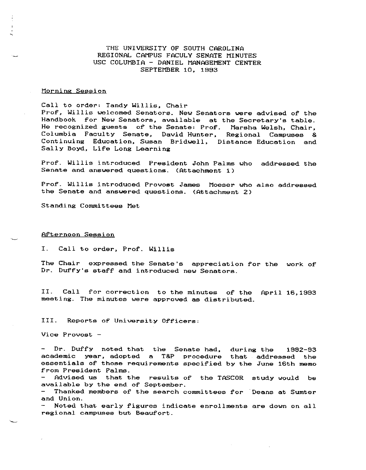THE UNIVERSITY OF SOUTH CAROLINA REGIONAL CAMPUS FACULY SENATE MINUTES USC COLUMBIA - DANIEL MANAGEMENT CENTER SEPTEMBER 10, 1883

#### **Morning Session**

Call to order: Tandy Willis, Chair Prof, Willis welcomed Senators. New Senators were advised of the Handbook for New Senators, available at the Secretary's table. He recognized guests of the Senate: Prof. Marsha Welsh, Chair, Columbia Faculty Senate, David Hunter, Regional Campuses & Continuing Education, Susan Bridwell, Distance Education and Sally Boyd, Lire Long Learning

Pror. Willis introduced President John Palms who addressed the Senate and answered questions. (Attachment 1)

Prof. Willis introduced Provost James Moeser who also addressed the Senate and answered questions. (Attachment 2)

Standing Committees Met

**Afternoon Session** 

I. Call to order, Prof. Willis

The Chair expressed the Senate's appreciation for the work of Dr. Duffy's staff and introduced new Senators.

II. Call for correction to the minutes of the April 16,1993 **meeting. The minutes were approved as distributed.** 

III. **Reports or University Officers:** 

**Vice Provost** 

Dr. Duffy noted that the Senate had, during the 1992-93 academic year, adopted a T&P procedure that addressed the essentials of those requirements specified by the June 16th memo rrom President Palms.

Advised us that the results or the TASCOR study would be available by the end. or September.

Thanked members of the search committees for Deans at Sumter **and Union.** 

Noted that early figures indicate enrollments are down on all **regional campuses but Beaurort.**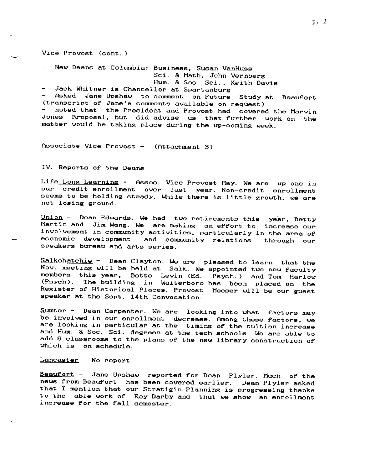Vice Provost (cont. )

- New Deans at Columbia: Business, Susan VanHuss

Sci. & Math, John Vernberg

Hum. & Soc. Sci., Keith Davis

Jack Whitner is Chancellor at Spartanburg

Asked Jane Upshau to comment on Future Study at Beaurort (transcript or Jane's comments available on request) noted that the President and Provost had covered the Marvin

Jones Proposal, but did advise us that further work on the matter would be taking place during the up-coming ueek.

Associate Vice Provost - (Attachment 3)

IV. Reports or the Deans

**Life Long Learning Assoc. Vice Provost May. We are up one in our credit enrollment over**  last year. Non-credit enrollment seems to be holding steady. While there is little grouth, ue are **not losing ground.** 

<u>Union</u> - Dean Edwards. We had two retirements this year, Betty **increase our**  Martin and Jim Wang. We are making an efrort to **in the area or involvement in community activities, particularly**  through our **economic development and community relations**  speakers bureau and arts series.

Salkehatchie - Dean Clayton. We are pleased to learn that the Nov. meeting will be held at Salk. We appointed two new faculty members this year, Bette Levin (Ed. Psych.) and Tom Harlow (Psych). The building in Waiterboro has been placed on the Register or Historical Places. Provost Moeser uill be our guest speaker at the Sept. 14th Convocation.

Sumter - Dean Carpenter. We are looking into what factors may be involved in our enrollment decrease. Among these factors, we are looking in particular at the timing of the tuition increase and Hum. & Soc. Sci. degrees at the tech schools. We are able to **add 6 classrooms to the plans or the new library construction of**  uhich is on schedule.

**Lancaster No report** 

Beaufort - Jane Upshaw reported for Dean Plyler. Much of the news from Beaufort has been covered earlier. Dean Plyler asked that I mention that our Stratigic Planning is progressing thanks to the able work or Roy Darby and that we shou an enrollment increase for the fall semester.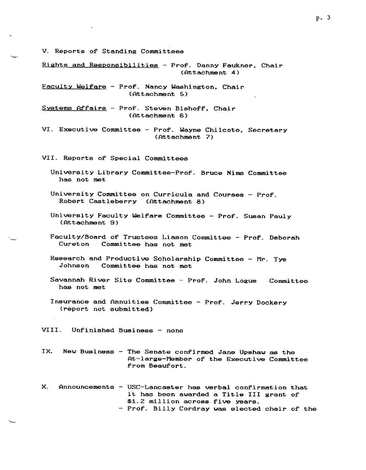V. Reports of Standing Committees

Rights and Responsibilities - Prof. Danny Faukner, Chair (Attachment 4)

Faculty Welfare - Prof. Nancy Washington, Chair (Attachment 5)

- Systems Affairs Prof. Steven Bishoff, Chair (Attachment 6)
- VI. Executive Committee Prof. Wayne Chilcote, Secretary (Attachment 7)

VII. Reports or Special Committees

- University Library Committee-Pror. Bruce Nims Committee has not met
- University Committee on Curricula and Courses Pror. Robert Castleberry (Attachment 8)
- University Faculty Welfare Committee Prof. Susan Pauly (Attachment 9)
- Faculty/Board or Trustees Liason Committee Pror. Deborah **Cureton** Committee has not met
- Research and Productive Scholarship Committee Mr. Tye<br>Johnson Committee has not met Committee has not met
- Savannah River Site Committee Pror. John Logue has not met Committee
- Insurance and Annuities Committee Pror. Jerry Dockery (report not submitted)

VIII. Unfinished Business - none

- IX. **New Business - The Senate conrirmed Jane Upshaw as the**  At-large-Member or the Executive Committee from Beaufort.
- X. Announcements USC-Lancaster has verbal confirmation that it has been awarded a Title III grant or \$1.2 million across five years. - Prof. Billy Cordray was elected chair of the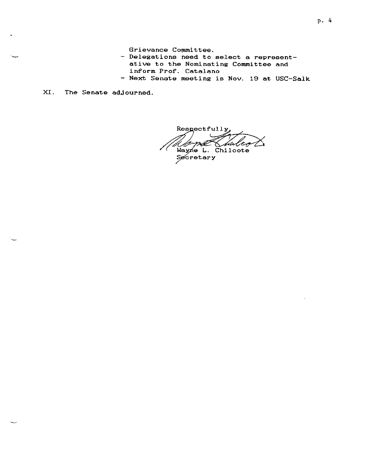- **Grievance Committee.** - Delegations need to select a representative to the Nominating Committee and inform Prof. Catalano - Next Senate meeting is Nov. 19 at USC-Salk
- XI. The Senate adjourned.

 $R$ espectfully Wayne L. Chilcote

nay.c<br>Secretary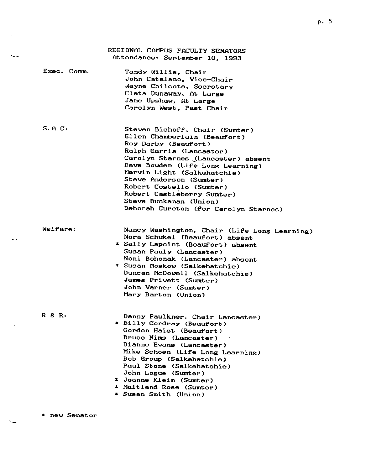|             | REGIONAL CAMPUS FACULTY SENATORS<br>Attendance: September 10, 1993                                                                                                                                                                                                                                                                                                                  |
|-------------|-------------------------------------------------------------------------------------------------------------------------------------------------------------------------------------------------------------------------------------------------------------------------------------------------------------------------------------------------------------------------------------|
| Exec. Comm. | Tandy Willis, Chair<br>John Catalano, Vice-Chair<br>Wayne Chilcote, Secretary<br>Cleta Dunaway, At Large<br>Jane Upshaw, At Large<br>Carolyn West, Past Chair                                                                                                                                                                                                                       |
| S.A.C.      | Steven Bishoff, Chair (Sumter)<br>Ellen Chamberlain (Beaufort)<br>Roy Darby (Beaufort)<br>Ralph Garris (Lancaster)<br>Carolyn Starnes (Lancaster) absent<br>Dave Bowden (Life Long Learning)<br>Marvin Light (Salkehatchie)<br>Steve Anderson (Sumter)<br>Robert Costello (Sumter)<br>Robert Castleberry Sumter)<br>Steve Buckanan (Union)<br>Deborah Cureton (for Carolyn Starnes) |

Welfare:

Nancy Washington, Chair (Life Long Learning) Nora Schukel (Beaufort) absent \* Sally Lapoint (Beaufort) absent

- Susan Pauly (Lancaster) Noni Bohonak (Lancaster) absent \* Susan Moskow (Salkehatchie)
- Duncan McDowell (Salkehatchie) James Privett (Sumter) John Varner (Sumter) Mary Barton (Union)

R 8 R:

Danny Faulkner, Chair Lancaster) \* Billy Cordray (Beaufort) Gordon Haist (Beaufort) Bruce Nims (Lancaster) Dianne Evans (Lancaster) Mike Schoen (Life Long Learning) Bob Group CSalkehatchie) Paul Stone (Salkehatchie) John Logue (Sumter)

- \* Joanne Klein (Sumter)
- \* Maitland Rose (Sumter)
- \* Susan Smith (Union)

\* **new Senator**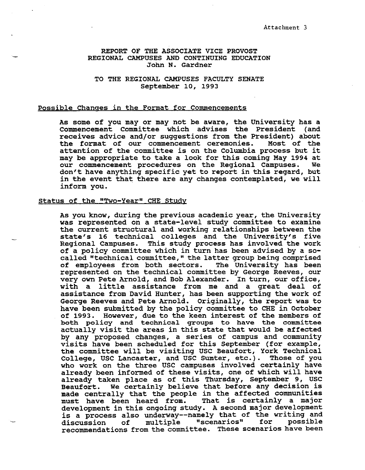### REPORT OF THE ASSOCIATE VICE PROVOST REGIONAL CAMPUSES AND CONTINUING EDUCATION John N. Gardner

TO THE REGIONAL CAMPUSES FACULTY SENATE September 10, 1993

#### Possible Changes in the Format for Commencements

As some of you may or may not be aware, the University has a Commencement Committee which advises the President (and receives advice and/or suggestions from the President) about the format of our commencement ceremonies. Most of the attention of the committee is on the Columbia process but it may be appropriate to take a look for this coming May 1994 at our commencement procedures on the Regional Campuses. don't have anything specific yet to report in this regard, but in the event that there are any changes contemplated, we will inform you.

#### status of the "Two-Year" CHE Study

As you know, during the previous academic year, the University was represented on a state-level study committee to examine the current structural and working relationships between the state's 16 technical colleges and the University's five Regional Campuses. This study process has involved the work of a policy committee which in turn has been advised by a socalled "technical committee," the latter group being comprised of employees from both sectors. The University has been represented on the technical committee by George Reeves, our very own Pete Arnold, and Bob Alexander. In turn, our office, with a little assistance from me and a great deal of assistance from David Hunter, has been supporting the work of George Reeves and Pete Arnold. Originally, the report was to have been submitted by the policy committee to CHE in October of 1993. However, due to the keen interest of the members of both policy and technical groups to have the committee actually visit the areas in this state that would be affected by any proposed changes, a series of campus and community visits have been scheduled for this September (for example, the committee will be visiting USC Beaufort, York Technical College, USC Lancaster, and USC Sumter, etc.). Those of you who work on the three USC campuses involved certainly have already been informed of these visits, one of which will have already taken place as of this Thursday, September 9, USC Beaufort. We certainly believe that before any decision is made centrally that the people in the affected communities must have been heard from. That is certainly a major development in this ongoing study. A second major development deveropment in this ongoing study. A second major deveropment discussion of multiple "scenarios" for possible discussion of multiple "scenarios" for possible<br>recommendations from the committee. These scenarios have been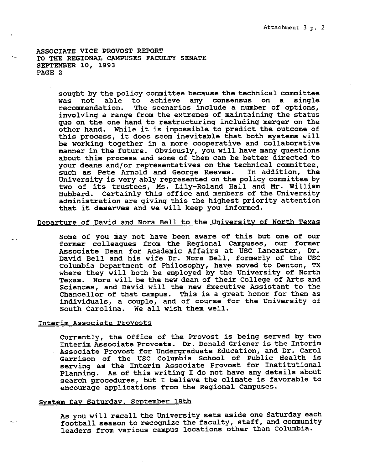ASSOCIATE VICE PROVOST REPORT TO THE REGIONAL CAMPUSES FACULTY SENATE SEPTEMBER 10, 1993 PAGE 2

> sought by the policy committee because the technical committee was not able to achieve any consensus on a single recommendation. The scenarios include a number of options, The scenarios include a number of options, involving a range from the extremes of maintaining the status quo on the one hand to restructuring including merger on the other hand. While it is impossible to predict the outcome of this process, it does seem inevitable that both systems will be working together in a more cooperative and collaborative manner in the future. Obviously, you **will** have many questions about this process and some of them can be better directed to your deans and/or representatives on the technical committee,<br>such as Pete Arnold and George Reeves. In addition, the such as Pete Arnold and George Reeves. University is very ably represented on the policy committee by two of its trustees, Ms. Lily-Roland Hall and Mr. William Hubbard. Certainly this office and members of the University administration are giving this the highest priority attention that it deserves and we will keep you informed.

# Departure of David and Nora Bell to the University of North Texas

Some of you may not have been aware of this but one of our former colleagues from the Regional Campuses, our former Associate Dean for Academic Affairs at USC Lancaster, Dr. David Bell and his wife Dr. Nora Bell, formerly of the USC Columbia Department of Philosophy, have moved to Denton, TX where they will both be employed by the University of North Texas. Nora will be the new dean of their College of Arts and Sciences, and David will the new Executive Assistant to the Chancellor of that campus. This is a great honor for them as individuals, a couple, and of course for the University of South Carolina. We all wish them well.

#### Interim Associate Provosts

currently, the Office of the Provost is being served by two Interim Associate Provosts. Dr. Donald Griener is the Interim Associate Provost for Undergraduate Education, and Dr. Carol Garrison of the USC Columbia School of Public Health is serving as the Interim Associate Provost for Institutional Planning. As of this writing I do not have any details about search procedures, but I believe the climate is favorable to encourage applications from the Regional Campuses.

## System Day Saturday. September 18th

As you will recall the University sets aside one Saturday each football season to recognize the faculty, staff, and community leaders from various campus locations other than Columbia.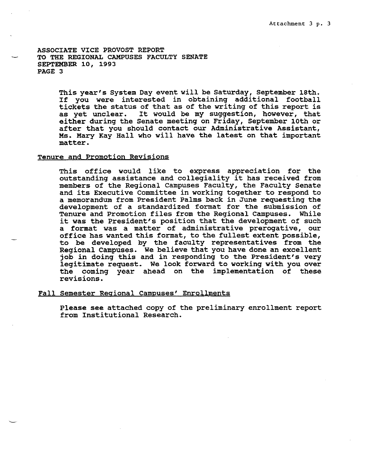ASSOCIATE VICE PROVOST REPORT TO THE REGIONAL CAMPUSES FACULTY SENATE SEPTEMBER 10, 1993 PAGE 3

> This year's System Day event will be Saturday, September 18th. If you were interested in obtaining additional football tickets the status of that as of the writing of this report is as yet unclear. It would be my suggestion, however, that either during the Senate meeting on Friday, September 10th or after that you should contact our Administrative Assistant, Ms. Mary Kay Hall who will have the latest on that important matter.

## Tenure and Promotion Revisions

This office would like to express appreciation for the outstanding assistance and collegiality it has received from members of the Regional campuses Faculty, the Faculty Senate and its Executive Committee in working together to respond to a memorandum from President Palms back in June requesting the development of a standardized format for the submission of Tenure and Promotion files from the Regional Campuses. While it was the President's position that the development of such a format was a matter of administrative prerogative, our office has wanted this format, to the fullest extent possible, to be developed by the faculty representatives from the Regional Campuses. We believe that you have done an excellent job in doing this and in responding to the President's very legitimate request. We look forward to working with you over the coming year ahead on the implementation of these revisions.

### Fall Semester Regional Campuses' Enrollments

Please see attached copy of the preliminary enrollment report from Institutional Research.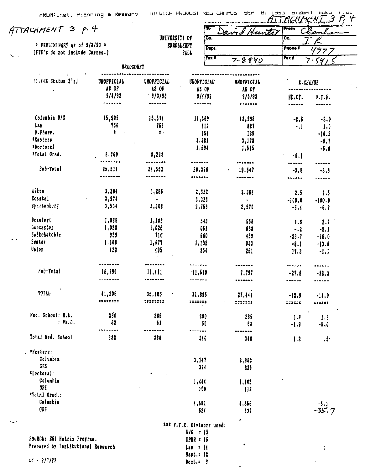Ŧo

O'COM'l HULL <u>...AITTAEHMENI </u>

From

<u>Hunte</u>

-9,! •5,0

 $\pmb{\cdot}$ 

*f!iTACHMt:"N i* 3 f· <f-

UJIVBRSITT or তে.  $\overline{\mathbf{c}}$  ,  $\cdot$  PRELIKINART as of 9/3/93  $\pm$ **ENROLLEENT** Dept. Phone #  $57$ !Frr.'s *do* not include Correa.I FALL Fax # Fax f 7-8840 ァ、 54 BBADCOUKT .........  $\left\{ \frac{1}{1}, \frac{1}{1} \right\}$  Status  $\left\{ \frac{1}{5} \right\}$  UNOPPICIAL UNOPPICIAL UNOFFICIAL UNOFFICIAL UJIOFFICIAL *i,CHAHGl*  A8 OF AS OF AS or AS or 9/4/92 · 9/3/93 9/4/92 9/3/93 BD,ct,  $P.T.B.$ \*\*\*\*\*\*\* -------**\*\*\*\*\*\*\*** .......  $\frac{1}{2}$ Coluabia U/G 15,995 15,611 11,289 13,998  $-2.6$   $-2.0$  $\frac{1}{2}$ !56 756 SU 821  $-1$  1.0 ~.Phart, \* •· 151 129 ·16.2 \*Kasters 3,521 3, l 78 •Doctoral 1,594 1,515 !fotel Gt•d. 8,160 8,22! •6,1 ···----· -------· ....... ------------...... Sub-Total 25,511 21,552 20,316 19,647  $-3.8$   $-3.5$ --------............... ....... . . . . . . . . ------------Ail!n 3,204 3,285 2,332 2,368 2.5 *1,5*  Coastal 3,914  $\mathbf{u}$  . 3,32!  $-100,0$   $-100.0$  $\bullet$ srartanburg 3,534 3,309 2,510 2,753  $-6.4$   $-6.7$ Btaurort I, 086 l, 103 513 558 1.6 2.1 Lancaster 1,028 l ,026 651 638  $-.2$   $-.2,1$ Salkchatchie 939 *116*  560 *159*   $-23, 7 -18, 0$ Sunter I ,608 1,17! l, 102 953  $-8.1 -13.6$ Ur.Jon IZZ 05 251 251  $17.3 -1.1$ ............. ........... . . . . . . . . ...... ~u~·fotal 16,195 ll ,fll ·11,519 I, 191  $-27.8$   $-32.3$ ---·--·-............... -------....... ....... ...... TOTAL !1, 306 35,963 31,895 21, *41* I  $-12.9$   $-14.0$ :::::::: **:u:::::**  :::.:;:; **::u:::**  :::::: :::::: Med. School: K.D. 280 286 280 285 *1.8* J.8 : Ph.D. 52 51 *66*  6l -1,9 -5,0 ..... -----·····--· ---- $\cdots$ Total Ked. Sebool 332 336 *346*  318  $1.2$   $.5$ . **•Kuters:**  Columbia 3,lH 2,t53 GRf 371 225 'Doctoral: Columbia 1.4H I, I 03 OR! I SO 112 •Yo!Jll Grad,: Columbia 1,591 l,356 -5, I GR!  $-35.7$ 521 331 , ••• f.f.E, Divisors used:  $U/G = 15$ SOURCE: B61 Matrix Program. DPHR • 15 Prepared by Institutional Research  $Lay = 14$ 

> Hut,: 12 Doct. = 9

 $c\bar{d} = 9/7/93$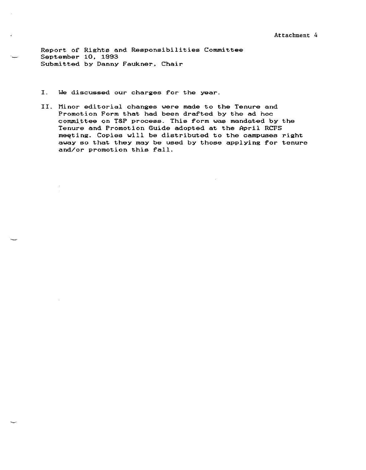Report of Rights and Responsibilities Committee September 10, 1993 Submitted by Danny Faukner, Chair

- I. We discussed our charges for the year.
- II. Minor editorial changes were made to the Tenure and Promotion Form that had been drafted by the ad hoc committee on T&P process. This form was mandated by the Tenure and Promotion Guide adopted at the April RCFS meeting. Copies will be distributed to the campuses right away so that they may be used by those applying for tenure and/or promotion this fall.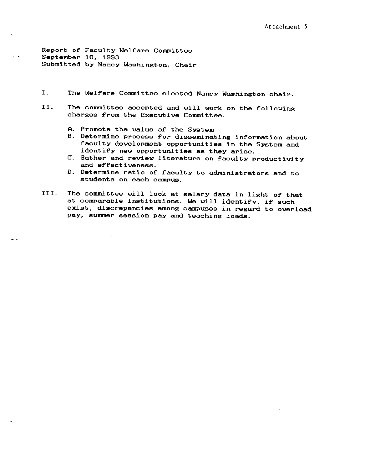Report or Faculty Welfare Committee September 10, 1993 Submitted by Nancy Washington, Chair

 $\mathbf{v}$ 

- I. The Welfare Committee elected Nancy Washington chair.
- II. The committee accepted and will work on the following charges from the Executive Committee.
	- A. Promote the value of the System
	- B. Determine process for disseminating information about faculty development opportunities in the System and identify new opportunities as they arise.
	- C. Gather and review literature on faculty productivity and effectiveness.
	- D. Determine ratio of faculty to administrators and to **students on each campus.**
- III. The committee will look at salary data in light or that at comparable institutions. We will identify, if such **exist, discrepancies among campuses in regard to overload pay, summer session pay and teaching loads.**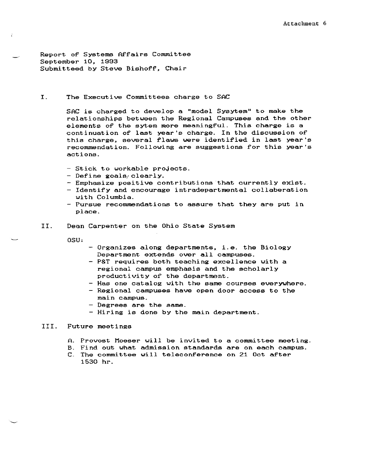Report or Systems Affairs Committee September 10, 1993 Submitteed by Steve Bishoff, Chair

I. The Executive Committees charge to SAC

SAC is charged to develop a "model Sysytem" to make the relationships between the Regional Campuses and the other elements of the sytem more meaningful. This charge is a **continuation of last year's charge. In the discussion of**  this charge, several flaws were identified in last year's **recommendation. Following are suggestions for this year's actions.** 

- Stick to workable projects.
- Define goals clearly.
- **Emphasize positive contributions·that currently exist.**
- Identify and encourage intradepartmental collaberation with Columbia.
- **Pursue recommendations to assure that they are put in**  place.
- II. Dean Carpenter on the Ohio State System

osu,

- Organizes along departments, i.e. the Biology Department extends over all campuses.
- P&T requires both teaching excellence with a regional campus emphasis and the scholarly productivity or the department.
- Has one catalog with the same courses everywhere.
- Regional campuses have open door access to the **main campus.**
- Degrees are the same.
- Hiring is done by the main department.

#### III. Future meetings

- A. Provost Moeser will be invited to a committee meeting.
- B. Find out what admission standards are on each campus.
- **C. The committee will teleconference on 21 Oct after**  1530 hr.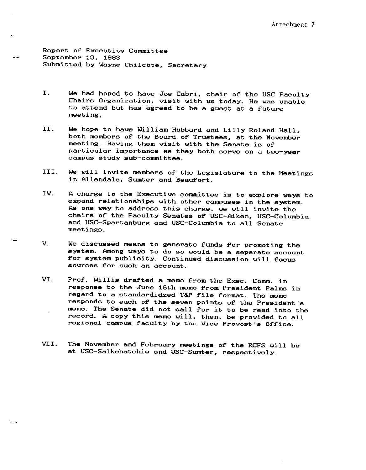Report of Executive Committee September 10, 1993 Submitted by Wayne Chilcote, Secretary

- I. We had hoped to have Joe Cabri, chair of the USC Faculty Chairs Organization, visit with us today. He was unable to attend but has agreed to be a guest at a future **meeting,**
- II. We hope to have William Hubbard and Lilly Roland Hall, both members of the Board of Trustees, at the November meeting. Having them visit with the Senate is of **particular importance as they both serve on a two-year**  campus study sub-committee.
- III. We will invite members of the Legislature to the Meetings in Allendale, Sumter and Beaufort.
- **IV.**  A charge to the Executive committee is to explore ways to expand relationships with other campuses in the system. As one way to address this charge, we will invite the chairs of the Faculty Senates of USC-Aiken, USC-Columbia and USC-Spartanburg and USC-Columbia to all Senate meetings.
- V. We discussed means to generate funds for promoting the system. Among ways to **do so would be a separate account**  for system publicity. Continued discussion will focus **sources for such an account.**
- VI. Prof. Willis drafted a memo from the Exec. Comm. in response to the June 16th memo from President Palms in regard to a standardidzed T&P file format. The memo responds to each of the seven points of the President's memo. The Senate did not call for it to be read into the record. A copy this memo will, then, be provided to all regional campus faculty by the Vice Provost's Office.
- **VII.** The November **and** February meetings of the RCFS will be at USC-Salkehatchie and USC-Sumter, respectively.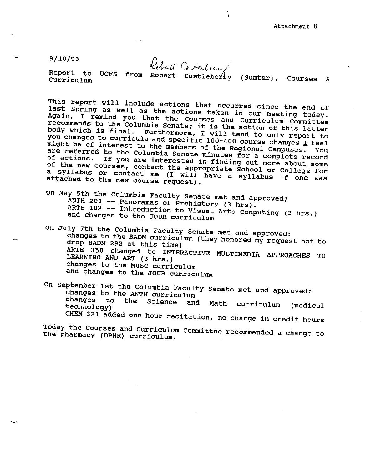9/10/93

Robert Conterlera,

¥.

Report to Curriculum UCFS from Robert Castleberl-y (Sumter), Courses &

This report will include actions that occurred since the end of last Spring as well as the actions that occurred since the end of<br>Again, I remind you that the Courses and C wre meeting today. Again, I remind you that the Courses and Curriculum Committee recommends to the Columbia Senate; it is the action of this latter<br>body which is final. Furthermore, I will tend to only report to body which is final. Furthermore, I will tend to only report to might be of you changes to curricula and specific 100-400 course changes *I* feel might be of interest to the members of the Regional Campuses. You<br>are referred to the Columbia Sopate missed the Regional Campuses. You are referred to the Columbia Senate minutes for a complete record<br>of actions. If you are interested in finding out more about semiof the new courses, of actions. If you are interested in finding out more about some of the new courses, contact the appropriate School or College for<br>a syllabus or contact me (I will have a sullabor College for a syllabus or contact me (I will have a syllabus if one was attached to the new course request).

On May 5th the Columbia Faculty senate met and approved; ANTH 201 -- Panoramas of Prehistory (3 hrs).<br>ARTS 102 -- Introduction to Visuel ARTS 102 -- Introduction to Visual Arts Computing (3 hrs.) and changes to the JOUR curriculum

On July 7th the Columbia Faculty Senate met and approved: drop <sup>292</sup>at this time) changes es to the BADM curriculum (they honored my request not to LEARNING AND ART ARTE 350 changed to INTERACTIVE MULTIMEDIA APPROACHES TO changes to the MUSC curriculum and changes to the JOUR curriculum

On September 1st the Columbia Faculty senate met and approved: changes to the ANTH curriculum<br>changes to the Science and changes to the Science and Math curriculum (medical technology) CHEM 321 added one hour recitation, no change in credit hours

Today the Courses and curriculum committee recommended a change to the pharmacy (DPHR) curriculum.